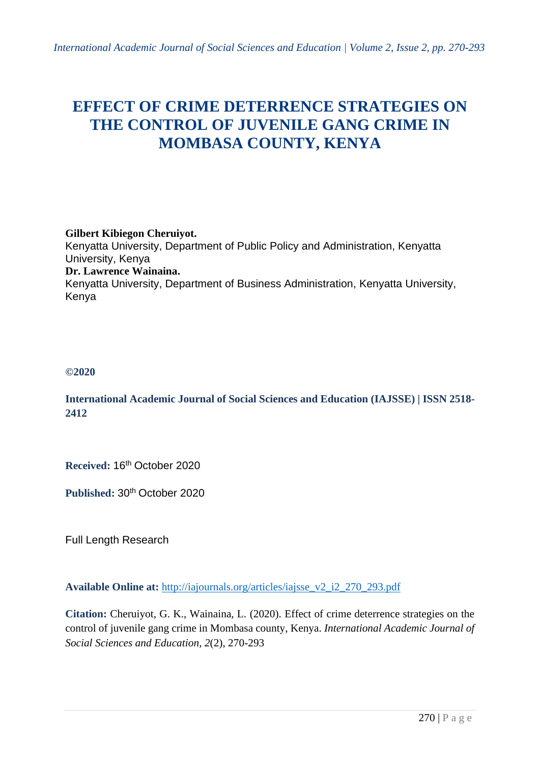# **EFFECT OF CRIME DETERRENCE STRATEGIES ON THE CONTROL OF JUVENILE GANG CRIME IN MOMBASA COUNTY, KENYA**

#### **Gilbert Kibiegon Cheruiyot.** Kenyatta University, Department of Public Policy and Administration, Kenyatta University, Kenya **Dr. Lawrence Wainaina.** Kenyatta University, Department of Business Administration, Kenyatta University, Kenya

# **©2020**

# **International Academic Journal of Social Sciences and Education (IAJSSE) | ISSN 2518- 2412**

**Received:** 16th October 2020

**Published:** 30th October 2020

Full Length Research

**Available Online at:** [http://iajournals.org/articles/iajsse\\_v2\\_i2\\_270\\_293.pdf](http://iajournals.org/articles/iajsse_v2_i2_270_293.pdf)

**Citation:** Cheruiyot, G. K., Wainaina, L. (2020). Effect of crime deterrence strategies on the control of juvenile gang crime in Mombasa county, Kenya. *International Academic Journal of Social Sciences and Education, 2*(2), 270-293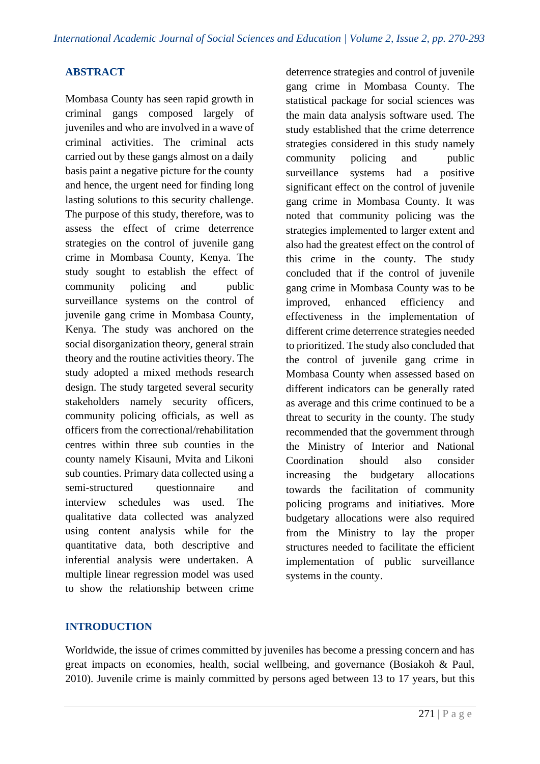# **ABSTRACT**

Mombasa County has seen rapid growth in criminal gangs composed largely of juveniles and who are involved in a wave of criminal activities. The criminal acts carried out by these gangs almost on a daily basis paint a negative picture for the county and hence, the urgent need for finding long lasting solutions to this security challenge. The purpose of this study, therefore, was to assess the effect of crime deterrence strategies on the control of juvenile gang crime in Mombasa County, Kenya. The study sought to establish the effect of community policing and public surveillance systems on the control of juvenile gang crime in Mombasa County, Kenya. The study was anchored on the social disorganization theory, general strain theory and the routine activities theory. The study adopted a mixed methods research design. The study targeted several security stakeholders namely security officers, community policing officials, as well as officers from the correctional/rehabilitation centres within three sub counties in the county namely Kisauni, Mvita and Likoni sub counties. Primary data collected using a semi-structured questionnaire and interview schedules was used. The qualitative data collected was analyzed using content analysis while for the quantitative data, both descriptive and inferential analysis were undertaken. A multiple linear regression model was used to show the relationship between crime deterrence strategies and control of juvenile gang crime in Mombasa County. The statistical package for social sciences was the main data analysis software used. The study established that the crime deterrence strategies considered in this study namely community policing and public surveillance systems had a positive significant effect on the control of juvenile gang crime in Mombasa County. It was noted that community policing was the strategies implemented to larger extent and also had the greatest effect on the control of this crime in the county. The study concluded that if the control of juvenile gang crime in Mombasa County was to be improved, enhanced efficiency and effectiveness in the implementation of different crime deterrence strategies needed to prioritized. The study also concluded that the control of juvenile gang crime in Mombasa County when assessed based on different indicators can be generally rated as average and this crime continued to be a threat to security in the county. The study recommended that the government through the Ministry of Interior and National Coordination should also consider increasing the budgetary allocations towards the facilitation of community policing programs and initiatives. More budgetary allocations were also required from the Ministry to lay the proper structures needed to facilitate the efficient implementation of public surveillance systems in the county.

# **INTRODUCTION**

Worldwide, the issue of crimes committed by juveniles has become a pressing concern and has great impacts on economies, health, social wellbeing, and governance (Bosiakoh & Paul, 2010). Juvenile crime is mainly committed by persons aged between 13 to 17 years, but this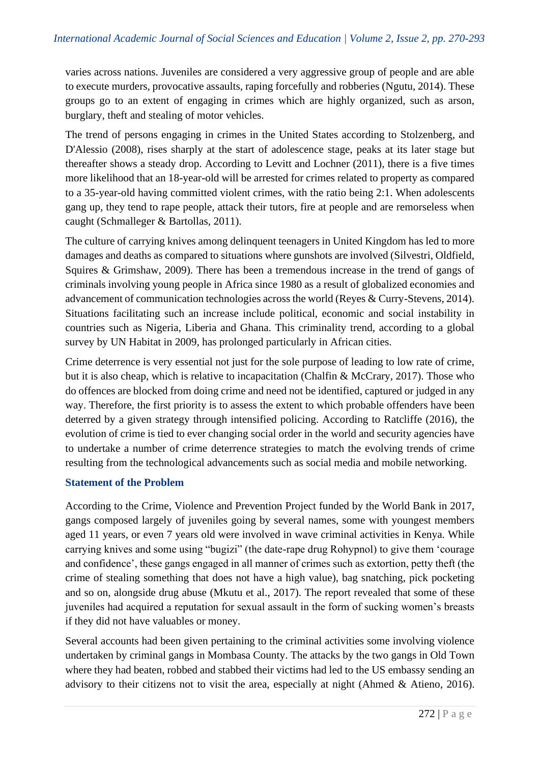varies across nations. Juveniles are considered a very aggressive group of people and are able to execute murders, provocative assaults, raping forcefully and robberies (Ngutu, 2014). These groups go to an extent of engaging in crimes which are highly organized, such as arson, burglary, theft and stealing of motor vehicles.

The trend of persons engaging in crimes in the United States according to Stolzenberg, and D'Alessio (2008), rises sharply at the start of adolescence stage, peaks at its later stage but thereafter shows a steady drop. According to Levitt and Lochner (2011), there is a five times more likelihood that an 18-year-old will be arrested for crimes related to property as compared to a 35-year-old having committed violent crimes, with the ratio being 2:1. When adolescents gang up, they tend to rape people, attack their tutors, fire at people and are remorseless when caught (Schmalleger & Bartollas, 2011).

The culture of carrying knives among delinquent teenagers in United Kingdom has led to more damages and deaths as compared to situations where gunshots are involved (Silvestri, Oldfield, Squires & Grimshaw, 2009). There has been a tremendous increase in the trend of gangs of criminals involving young people in Africa since 1980 as a result of globalized economies and advancement of communication technologies across the world (Reyes & Curry-Stevens, 2014). Situations facilitating such an increase include political, economic and social instability in countries such as Nigeria, Liberia and Ghana. This criminality trend, according to a global survey by UN Habitat in 2009, has prolonged particularly in African cities.

Crime deterrence is very essential not just for the sole purpose of leading to low rate of crime, but it is also cheap, which is relative to incapacitation (Chalfin & McCrary, 2017). Those who do offences are blocked from doing crime and need not be identified, captured or judged in any way. Therefore, the first priority is to assess the extent to which probable offenders have been deterred by a given strategy through intensified policing. According to Ratcliffe (2016), the evolution of crime is tied to ever changing social order in the world and security agencies have to undertake a number of crime deterrence strategies to match the evolving trends of crime resulting from the technological advancements such as social media and mobile networking.

# **Statement of the Problem**

According to the Crime, Violence and Prevention Project funded by the World Bank in 2017, gangs composed largely of juveniles going by several names, some with youngest members aged 11 years, or even 7 years old were involved in wave criminal activities in Kenya. While carrying knives and some using "bugizi" (the date-rape drug Rohypnol) to give them 'courage and confidence', these gangs engaged in all manner of crimes such as extortion, petty theft (the crime of stealing something that does not have a high value), bag snatching, pick pocketing and so on, alongside drug abuse (Mkutu et al., 2017). The report revealed that some of these juveniles had acquired a reputation for sexual assault in the form of sucking women's breasts if they did not have valuables or money.

Several accounts had been given pertaining to the criminal activities some involving violence undertaken by criminal gangs in Mombasa County. The attacks by the two gangs in Old Town where they had beaten, robbed and stabbed their victims had led to the US embassy sending an advisory to their citizens not to visit the area, especially at night (Ahmed & Atieno, 2016).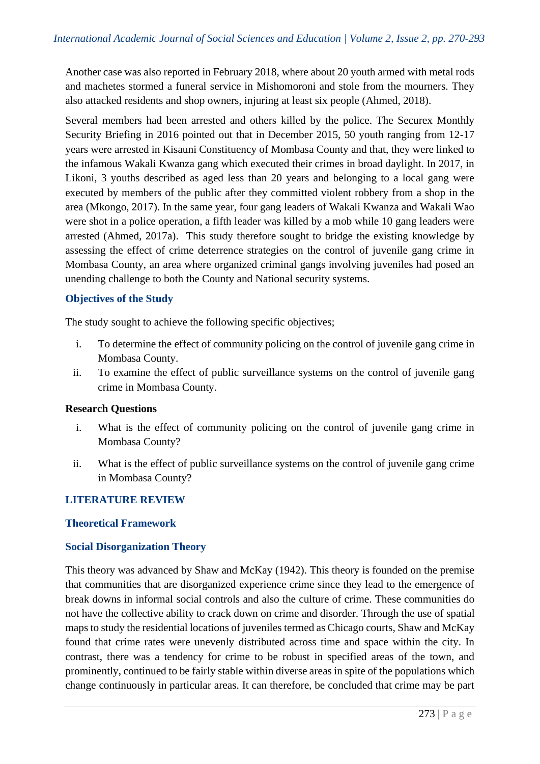Another case was also reported in February 2018, where about 20 youth armed with metal rods and machetes stormed a funeral service in Mishomoroni and stole from the mourners. They also attacked residents and shop owners, injuring at least six people (Ahmed, 2018).

Several members had been arrested and others killed by the police. The Securex Monthly Security Briefing in 2016 pointed out that in December 2015, 50 youth ranging from 12-17 years were arrested in Kisauni Constituency of Mombasa County and that, they were linked to the infamous Wakali Kwanza gang which executed their crimes in broad daylight. In 2017, in Likoni, 3 youths described as aged less than 20 years and belonging to a local gang were executed by members of the public after they committed violent robbery from a shop in the area (Mkongo, 2017). In the same year, four gang leaders of Wakali Kwanza and Wakali Wao were shot in a police operation, a fifth leader was killed by a mob while 10 gang leaders were arrested (Ahmed, 2017a). This study therefore sought to bridge the existing knowledge by assessing the effect of crime deterrence strategies on the control of juvenile gang crime in Mombasa County, an area where organized criminal gangs involving juveniles had posed an unending challenge to both the County and National security systems.

#### **Objectives of the Study**

The study sought to achieve the following specific objectives;

- i. To determine the effect of community policing on the control of juvenile gang crime in Mombasa County.
- ii. To examine the effect of public surveillance systems on the control of juvenile gang crime in Mombasa County.

#### **Research Questions**

- i. What is the effect of community policing on the control of juvenile gang crime in Mombasa County?
- ii. What is the effect of public surveillance systems on the control of juvenile gang crime in Mombasa County?

# **LITERATURE REVIEW**

# **Theoretical Framework**

# **Social Disorganization Theory**

This theory was advanced by Shaw and McKay (1942). This theory is founded on the premise that communities that are disorganized experience crime since they lead to the emergence of break downs in informal social controls and also the culture of crime. These communities do not have the collective ability to crack down on crime and disorder. Through the use of spatial maps to study the residential locations of juveniles termed as Chicago courts, Shaw and McKay found that crime rates were unevenly distributed across time and space within the city. In contrast, there was a tendency for crime to be robust in specified areas of the town, and prominently, continued to be fairly stable within diverse areas in spite of the populations which change continuously in particular areas. It can therefore, be concluded that crime may be part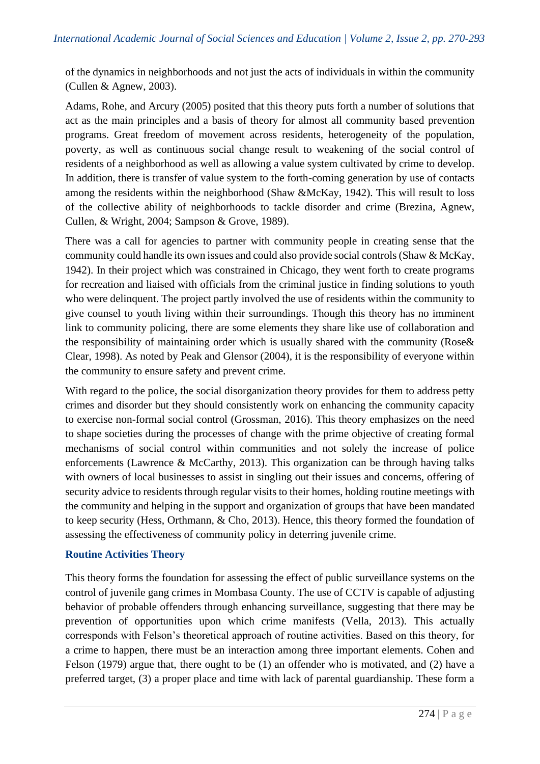of the dynamics in neighborhoods and not just the acts of individuals in within the community (Cullen & Agnew, 2003).

Adams, Rohe, and Arcury (2005) posited that this theory puts forth a number of solutions that act as the main principles and a basis of theory for almost all community based prevention programs. Great freedom of movement across residents, heterogeneity of the population, poverty, as well as continuous social change result to weakening of the social control of residents of a neighborhood as well as allowing a value system cultivated by crime to develop. In addition, there is transfer of value system to the forth-coming generation by use of contacts among the residents within the neighborhood (Shaw &McKay, 1942). This will result to loss of the collective ability of neighborhoods to tackle disorder and crime (Brezina, Agnew, Cullen, & Wright, 2004; Sampson & Grove, 1989).

There was a call for agencies to partner with community people in creating sense that the community could handle its own issues and could also provide social controls (Shaw & McKay, 1942). In their project which was constrained in Chicago, they went forth to create programs for recreation and liaised with officials from the criminal justice in finding solutions to youth who were delinquent. The project partly involved the use of residents within the community to give counsel to youth living within their surroundings. Though this theory has no imminent link to community policing, there are some elements they share like use of collaboration and the responsibility of maintaining order which is usually shared with the community (Rose& Clear, 1998). As noted by Peak and Glensor (2004), it is the responsibility of everyone within the community to ensure safety and prevent crime.

With regard to the police, the social disorganization theory provides for them to address petty crimes and disorder but they should consistently work on enhancing the community capacity to exercise non-formal social control (Grossman, 2016). This theory emphasizes on the need to shape societies during the processes of change with the prime objective of creating formal mechanisms of social control within communities and not solely the increase of police enforcements (Lawrence & McCarthy, 2013). This organization can be through having talks with owners of local businesses to assist in singling out their issues and concerns, offering of security advice to residents through regular visits to their homes, holding routine meetings with the community and helping in the support and organization of groups that have been mandated to keep security (Hess, Orthmann, & Cho, 2013). Hence, this theory formed the foundation of assessing the effectiveness of community policy in deterring juvenile crime.

# **Routine Activities Theory**

This theory forms the foundation for assessing the effect of public surveillance systems on the control of juvenile gang crimes in Mombasa County. The use of CCTV is capable of adjusting behavior of probable offenders through enhancing surveillance, suggesting that there may be prevention of opportunities upon which crime manifests (Vella, 2013). This actually corresponds with Felson's theoretical approach of routine activities. Based on this theory, for a crime to happen, there must be an interaction among three important elements. Cohen and Felson (1979) argue that, there ought to be (1) an offender who is motivated, and (2) have a preferred target, (3) a proper place and time with lack of parental guardianship. These form a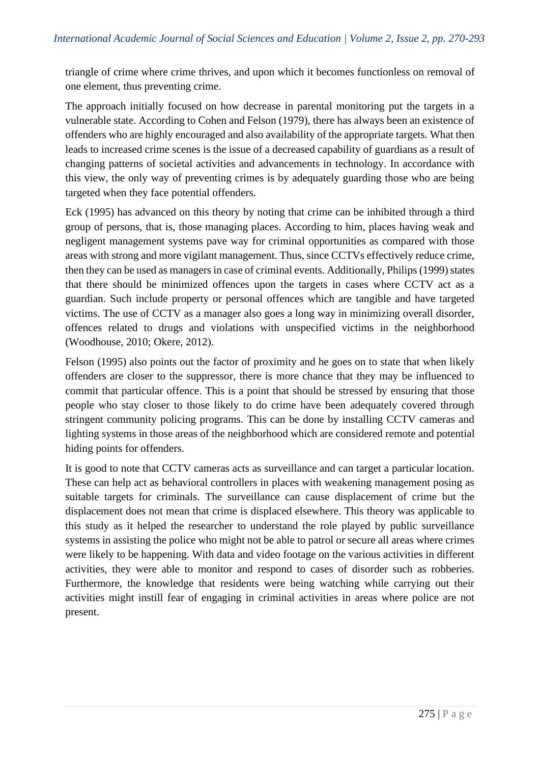triangle of crime where crime thrives, and upon which it becomes functionless on removal of one element, thus preventing crime.

The approach initially focused on how decrease in parental monitoring put the targets in a vulnerable state. According to Cohen and Felson (1979), there has always been an existence of offenders who are highly encouraged and also availability of the appropriate targets. What then leads to increased crime scenes is the issue of a decreased capability of guardians as a result of changing patterns of societal activities and advancements in technology. In accordance with this view, the only way of preventing crimes is by adequately guarding those who are being targeted when they face potential offenders.

Eck (1995) has advanced on this theory by noting that crime can be inhibited through a third group of persons, that is, those managing places. According to him, places having weak and negligent management systems pave way for criminal opportunities as compared with those areas with strong and more vigilant management. Thus, since CCTVs effectively reduce crime, then they can be used as managers in case of criminal events. Additionally, Philips (1999) states that there should be minimized offences upon the targets in cases where CCTV act as a guardian. Such include property or personal offences which are tangible and have targeted victims. The use of CCTV as a manager also goes a long way in minimizing overall disorder, offences related to drugs and violations with unspecified victims in the neighborhood (Woodhouse, 2010; Okere, 2012).

Felson (1995) also points out the factor of proximity and he goes on to state that when likely offenders are closer to the suppressor, there is more chance that they may be influenced to commit that particular offence. This is a point that should be stressed by ensuring that those people who stay closer to those likely to do crime have been adequately covered through stringent community policing programs. This can be done by installing CCTV cameras and lighting systems in those areas of the neighborhood which are considered remote and potential hiding points for offenders.

It is good to note that CCTV cameras acts as surveillance and can target a particular location. These can help act as behavioral controllers in places with weakening management posing as suitable targets for criminals. The surveillance can cause displacement of crime but the displacement does not mean that crime is displaced elsewhere. This theory was applicable to this study as it helped the researcher to understand the role played by public surveillance systems in assisting the police who might not be able to patrol or secure all areas where crimes were likely to be happening. With data and video footage on the various activities in different activities, they were able to monitor and respond to cases of disorder such as robberies. Furthermore, the knowledge that residents were being watching while carrying out their activities might instill fear of engaging in criminal activities in areas where police are not present.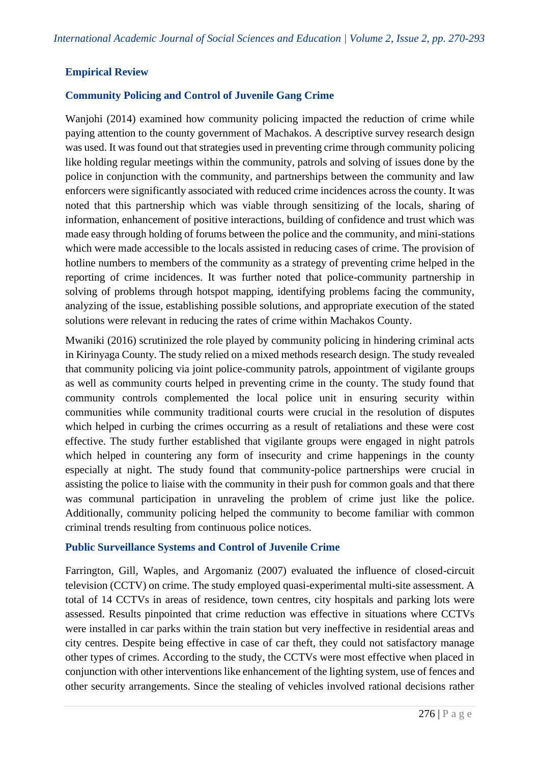# **Empirical Review**

# **Community Policing and Control of Juvenile Gang Crime**

Wanjohi (2014) examined how community policing impacted the reduction of crime while paying attention to the county government of Machakos. A descriptive survey research design was used. It was found out that strategies used in preventing crime through community policing like holding regular meetings within the community, patrols and solving of issues done by the police in conjunction with the community, and partnerships between the community and law enforcers were significantly associated with reduced crime incidences across the county. It was noted that this partnership which was viable through sensitizing of the locals, sharing of information, enhancement of positive interactions, building of confidence and trust which was made easy through holding of forums between the police and the community, and mini-stations which were made accessible to the locals assisted in reducing cases of crime. The provision of hotline numbers to members of the community as a strategy of preventing crime helped in the reporting of crime incidences. It was further noted that police-community partnership in solving of problems through hotspot mapping, identifying problems facing the community, analyzing of the issue, establishing possible solutions, and appropriate execution of the stated solutions were relevant in reducing the rates of crime within Machakos County.

Mwaniki (2016) scrutinized the role played by community policing in hindering criminal acts in Kirinyaga County. The study relied on a mixed methods research design. The study revealed that community policing via joint police-community patrols, appointment of vigilante groups as well as community courts helped in preventing crime in the county. The study found that community controls complemented the local police unit in ensuring security within communities while community traditional courts were crucial in the resolution of disputes which helped in curbing the crimes occurring as a result of retaliations and these were cost effective. The study further established that vigilante groups were engaged in night patrols which helped in countering any form of insecurity and crime happenings in the county especially at night. The study found that community-police partnerships were crucial in assisting the police to liaise with the community in their push for common goals and that there was communal participation in unraveling the problem of crime just like the police. Additionally, community policing helped the community to become familiar with common criminal trends resulting from continuous police notices.

#### **Public Surveillance Systems and Control of Juvenile Crime**

Farrington, Gill, Waples, and Argomaniz (2007) evaluated the influence of closed-circuit television (CCTV) on crime. The study employed quasi-experimental multi-site assessment. A total of 14 CCTVs in areas of residence, town centres, city hospitals and parking lots were assessed. Results pinpointed that crime reduction was effective in situations where CCTVs were installed in car parks within the train station but very ineffective in residential areas and city centres. Despite being effective in case of car theft, they could not satisfactory manage other types of crimes. According to the study, the CCTVs were most effective when placed in conjunction with other interventions like enhancement of the lighting system, use of fences and other security arrangements. Since the stealing of vehicles involved rational decisions rather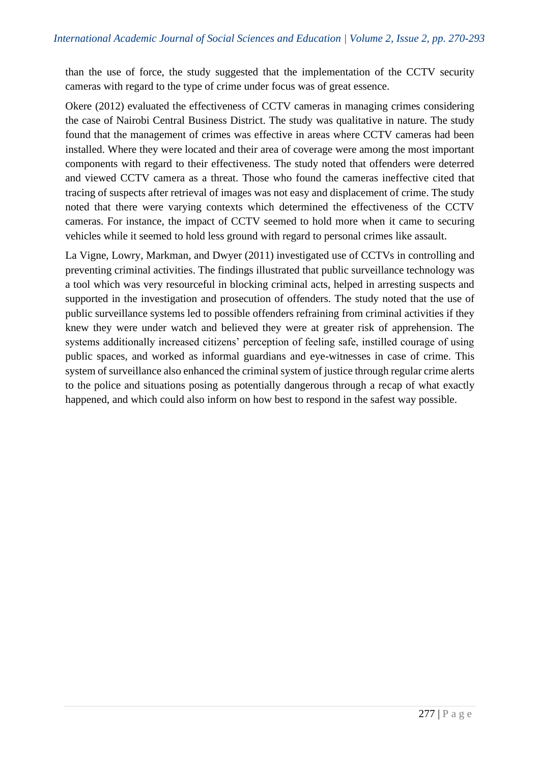than the use of force, the study suggested that the implementation of the CCTV security cameras with regard to the type of crime under focus was of great essence.

Okere (2012) evaluated the effectiveness of CCTV cameras in managing crimes considering the case of Nairobi Central Business District. The study was qualitative in nature. The study found that the management of crimes was effective in areas where CCTV cameras had been installed. Where they were located and their area of coverage were among the most important components with regard to their effectiveness. The study noted that offenders were deterred and viewed CCTV camera as a threat. Those who found the cameras ineffective cited that tracing of suspects after retrieval of images was not easy and displacement of crime. The study noted that there were varying contexts which determined the effectiveness of the CCTV cameras. For instance, the impact of CCTV seemed to hold more when it came to securing vehicles while it seemed to hold less ground with regard to personal crimes like assault.

La Vigne, Lowry, Markman, and Dwyer (2011) investigated use of CCTVs in controlling and preventing criminal activities. The findings illustrated that public surveillance technology was a tool which was very resourceful in blocking criminal acts, helped in arresting suspects and supported in the investigation and prosecution of offenders. The study noted that the use of public surveillance systems led to possible offenders refraining from criminal activities if they knew they were under watch and believed they were at greater risk of apprehension. The systems additionally increased citizens' perception of feeling safe, instilled courage of using public spaces, and worked as informal guardians and eye-witnesses in case of crime. This system of surveillance also enhanced the criminal system of justice through regular crime alerts to the police and situations posing as potentially dangerous through a recap of what exactly happened, and which could also inform on how best to respond in the safest way possible.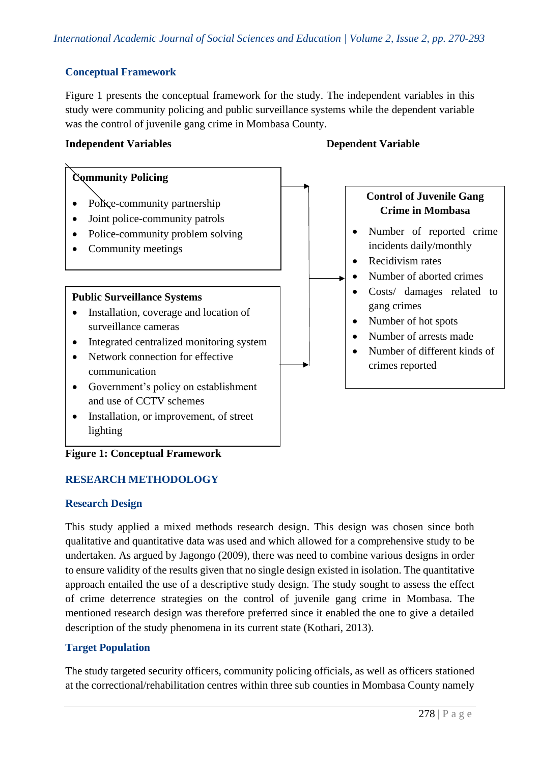# **Conceptual Framework**

Figure 1 presents the conceptual framework for the study. The independent variables in this study were community policing and public surveillance systems while the dependent variable was the control of juvenile gang crime in Mombasa County.

#### **Independent Variables Dependent Variable**



# **Figure 1: Conceptual Framework**

# **RESEARCH METHODOLOGY**

# **Research Design**

This study applied a mixed methods research design. This design was chosen since both qualitative and quantitative data was used and which allowed for a comprehensive study to be undertaken. As argued by Jagongo (2009), there was need to combine various designs in order to ensure validity of the results given that no single design existed in isolation. The quantitative approach entailed the use of a descriptive study design. The study sought to assess the effect of crime deterrence strategies on the control of juvenile gang crime in Mombasa. The mentioned research design was therefore preferred since it enabled the one to give a detailed description of the study phenomena in its current state (Kothari, 2013).

# **Target Population**

The study targeted security officers, community policing officials, as well as officers stationed at the correctional/rehabilitation centres within three sub counties in Mombasa County namely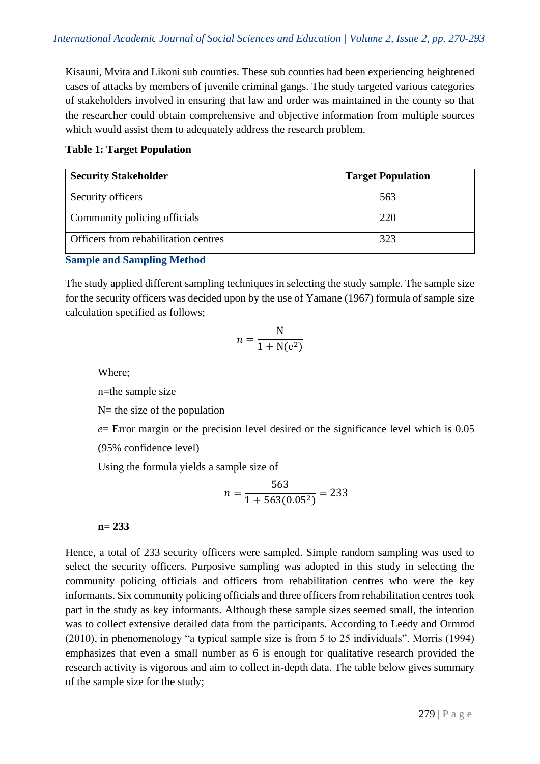Kisauni, Mvita and Likoni sub counties. These sub counties had been experiencing heightened cases of attacks by members of juvenile criminal gangs. The study targeted various categories of stakeholders involved in ensuring that law and order was maintained in the county so that the researcher could obtain comprehensive and objective information from multiple sources which would assist them to adequately address the research problem.

# **Table 1: Target Population**

| <b>Security Stakeholder</b>          | <b>Target Population</b> |
|--------------------------------------|--------------------------|
| Security officers                    | 563                      |
| Community policing officials         | 220                      |
| Officers from rehabilitation centres | 323                      |

# **Sample and Sampling Method**

The study applied different sampling techniques in selecting the study sample. The sample size for the security officers was decided upon by the use of Yamane (1967) formula of sample size calculation specified as follows;

$$
n = \frac{N}{1 + N(e^2)}
$$

Where;

n=the sample size

 $N=$  the size of the population

*e*= Error margin or the precision level desired or the significance level which is 0.05 (95% confidence level)

Using the formula yields a sample size of

$$
n = \frac{563}{1 + 563(0.05^2)} = 233
$$

**n= 233**

Hence, a total of 233 security officers were sampled. Simple random sampling was used to select the security officers. Purposive sampling was adopted in this study in selecting the community policing officials and officers from rehabilitation centres who were the key informants. Six community policing officials and three officers from rehabilitation centres took part in the study as key informants. Although these sample sizes seemed small, the intention was to collect extensive detailed data from the participants. According to Leedy and Ormrod (2010), in phenomenology "a typical sample size is from 5 to 25 individuals". Morris (1994) emphasizes that even a small number as 6 is enough for qualitative research provided the research activity is vigorous and aim to collect in-depth data. The table below gives summary of the sample size for the study;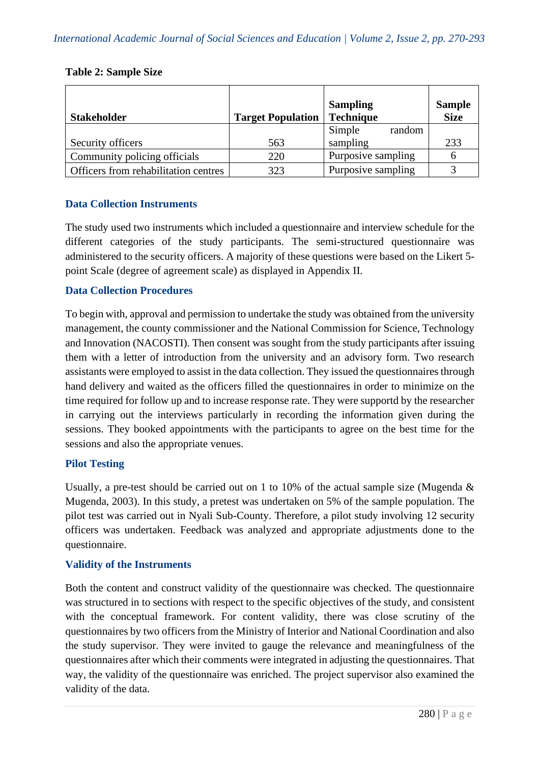#### **Table 2: Sample Size**

|                                      |                          | <b>Sampling</b>    | <b>Sample</b> |
|--------------------------------------|--------------------------|--------------------|---------------|
| <b>Stakeholder</b>                   | <b>Target Population</b> | <b>Technique</b>   | <b>Size</b>   |
|                                      |                          | Simple<br>random   |               |
| Security officers                    | 563                      | sampling           | 233           |
| Community policing officials         | 220                      | Purposive sampling | h             |
| Officers from rehabilitation centres | 323                      | Purposive sampling |               |

#### **Data Collection Instruments**

The study used two instruments which included a questionnaire and interview schedule for the different categories of the study participants. The semi-structured questionnaire was administered to the security officers. A majority of these questions were based on the Likert 5 point Scale (degree of agreement scale) as displayed in Appendix II.

#### **Data Collection Procedures**

To begin with, approval and permission to undertake the study was obtained from the university management, the county commissioner and the National Commission for Science, Technology and Innovation (NACOSTI). Then consent was sought from the study participants after issuing them with a letter of introduction from the university and an advisory form. Two research assistants were employed to assist in the data collection. They issued the questionnaires through hand delivery and waited as the officers filled the questionnaires in order to minimize on the time required for follow up and to increase response rate. They were supportd by the researcher in carrying out the interviews particularly in recording the information given during the sessions. They booked appointments with the participants to agree on the best time for the sessions and also the appropriate venues.

#### **Pilot Testing**

Usually, a pre-test should be carried out on 1 to 10% of the actual sample size (Mugenda & Mugenda, 2003). In this study, a pretest was undertaken on 5% of the sample population. The pilot test was carried out in Nyali Sub-County. Therefore, a pilot study involving 12 security officers was undertaken. Feedback was analyzed and appropriate adjustments done to the questionnaire.

#### **Validity of the Instruments**

Both the content and construct validity of the questionnaire was checked. The questionnaire was structured in to sections with respect to the specific objectives of the study, and consistent with the conceptual framework. For content validity, there was close scrutiny of the questionnaires by two officers from the Ministry of Interior and National Coordination and also the study supervisor. They were invited to gauge the relevance and meaningfulness of the questionnaires after which their comments were integrated in adjusting the questionnaires. That way, the validity of the questionnaire was enriched. The project supervisor also examined the validity of the data.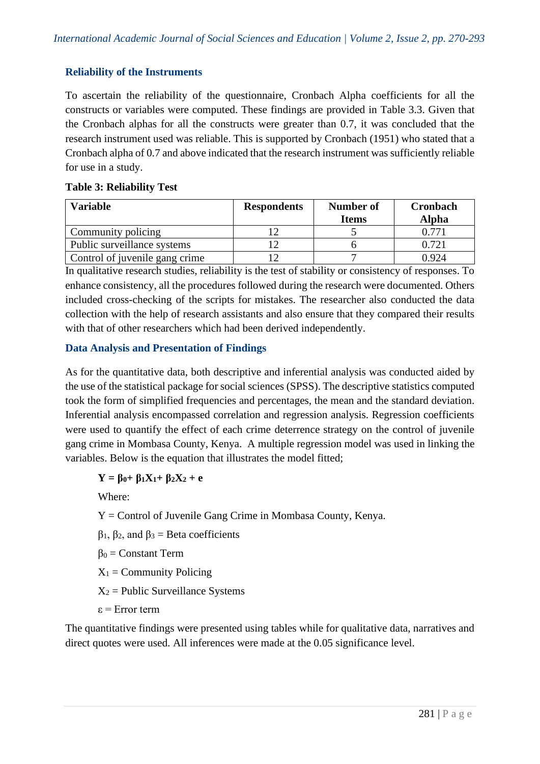# **Reliability of the Instruments**

To ascertain the reliability of the questionnaire, Cronbach Alpha coefficients for all the constructs or variables were computed. These findings are provided in Table 3.3. Given that the Cronbach alphas for all the constructs were greater than 0.7, it was concluded that the research instrument used was reliable. This is supported by Cronbach (1951) who stated that a Cronbach alpha of 0.7 and above indicated that the research instrument was sufficiently reliable for use in a study.

#### **Table 3: Reliability Test**

| <b>Variable</b>                | <b>Respondents</b> | Number of<br><b>Items</b> | Cronbach<br><b>Alpha</b> |
|--------------------------------|--------------------|---------------------------|--------------------------|
| Community policing             |                    |                           | በ 771                    |
| Public surveillance systems    |                    |                           | 0.721                    |
| Control of juvenile gang crime |                    |                           | 0.924                    |

In qualitative research studies, reliability is the test of stability or consistency of responses. To enhance consistency, all the procedures followed during the research were documented. Others included cross-checking of the scripts for mistakes. The researcher also conducted the data collection with the help of research assistants and also ensure that they compared their results with that of other researchers which had been derived independently.

# **Data Analysis and Presentation of Findings**

As for the quantitative data, both descriptive and inferential analysis was conducted aided by the use of the statistical package for social sciences (SPSS). The descriptive statistics computed took the form of simplified frequencies and percentages, the mean and the standard deviation. Inferential analysis encompassed correlation and regression analysis. Regression coefficients were used to quantify the effect of each crime deterrence strategy on the control of juvenile gang crime in Mombasa County, Kenya. A multiple regression model was used in linking the variables. Below is the equation that illustrates the model fitted;

**Y = β0+ β1X1+ β2X<sup>2</sup> + e**

Where:

Y = Control of Juvenile Gang Crime in Mombasa County, Kenya.

 $β<sub>1</sub>, β<sub>2</sub>, and β<sub>3</sub> = Beta coefficients$ 

 $β<sub>0</sub> = Constant Term$ 

 $X_1$  = Community Policing

 $X_2$  = Public Surveillance Systems

ε = Error term

The quantitative findings were presented using tables while for qualitative data, narratives and direct quotes were used. All inferences were made at the 0.05 significance level.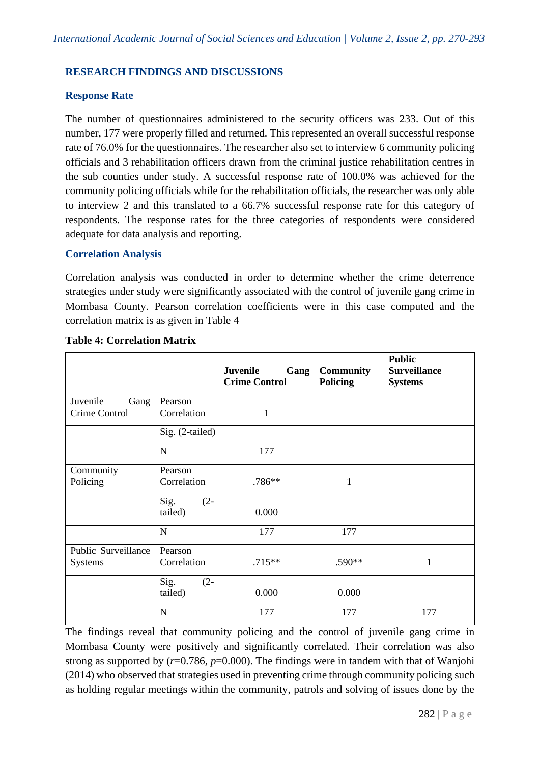# **RESEARCH FINDINGS AND DISCUSSIONS**

#### **Response Rate**

The number of questionnaires administered to the security officers was 233. Out of this number, 177 were properly filled and returned. This represented an overall successful response rate of 76.0% for the questionnaires. The researcher also set to interview 6 community policing officials and 3 rehabilitation officers drawn from the criminal justice rehabilitation centres in the sub counties under study. A successful response rate of 100.0% was achieved for the community policing officials while for the rehabilitation officials, the researcher was only able to interview 2 and this translated to a 66.7% successful response rate for this category of respondents. The response rates for the three categories of respondents were considered adequate for data analysis and reporting.

#### **Correlation Analysis**

Correlation analysis was conducted in order to determine whether the crime deterrence strategies under study were significantly associated with the control of juvenile gang crime in Mombasa County. Pearson correlation coefficients were in this case computed and the correlation matrix is as given in Table 4

|                     |                 | Juvenile<br>Gang<br><b>Crime Control</b> | <b>Community</b><br><b>Policing</b> | <b>Public</b><br><b>Surveillance</b><br><b>Systems</b> |
|---------------------|-----------------|------------------------------------------|-------------------------------------|--------------------------------------------------------|
| Juvenile<br>Gang    | Pearson         |                                          |                                     |                                                        |
| Crime Control       | Correlation     | $\mathbf{1}$                             |                                     |                                                        |
|                     | Sig. (2-tailed) |                                          |                                     |                                                        |
|                     | ${\bf N}$       | 177                                      |                                     |                                                        |
| Community           | Pearson         |                                          |                                     |                                                        |
| Policing            | Correlation     | .786**                                   | 1                                   |                                                        |
|                     | Sig.<br>$(2 -$  |                                          |                                     |                                                        |
|                     | tailed)         | 0.000                                    |                                     |                                                        |
|                     | $\mathbf N$     | 177                                      | 177                                 |                                                        |
| Public Surveillance | Pearson         |                                          |                                     |                                                        |
| Systems             | Correlation     | $.715**$                                 | .590**                              | 1                                                      |
|                     | Sig.<br>$(2 -$  |                                          |                                     |                                                        |
|                     | tailed)         | 0.000                                    | 0.000                               |                                                        |
|                     | N               | 177                                      | 177                                 | 177                                                    |

#### **Table 4: Correlation Matrix**

The findings reveal that community policing and the control of juvenile gang crime in Mombasa County were positively and significantly correlated. Their correlation was also strong as supported by  $(r=0.786, p=0.000)$ . The findings were in tandem with that of Wanjohi (2014) who observed that strategies used in preventing crime through community policing such as holding regular meetings within the community, patrols and solving of issues done by the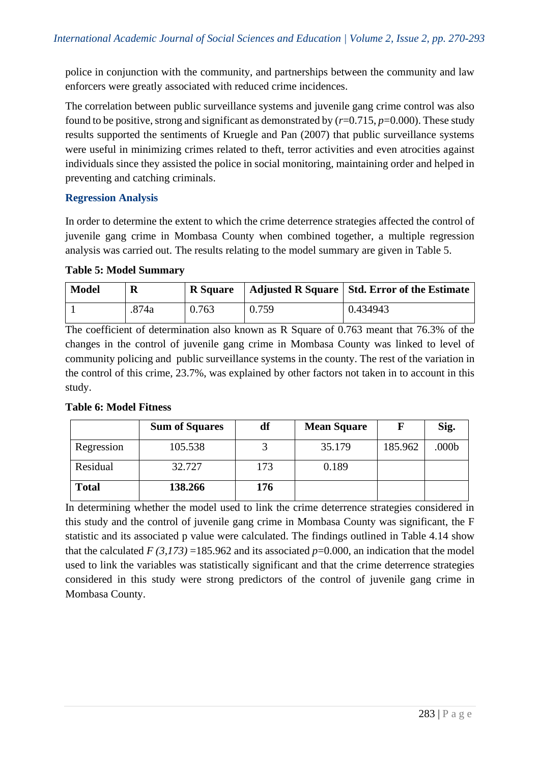police in conjunction with the community, and partnerships between the community and law enforcers were greatly associated with reduced crime incidences.

The correlation between public surveillance systems and juvenile gang crime control was also found to be positive, strong and significant as demonstrated by  $(r=0.715, p=0.000)$ . These study results supported the sentiments of Kruegle and Pan (2007) that public surveillance systems were useful in minimizing crimes related to theft, terror activities and even atrocities against individuals since they assisted the police in social monitoring, maintaining order and helped in preventing and catching criminals.

# **Regression Analysis**

In order to determine the extent to which the crime deterrence strategies affected the control of juvenile gang crime in Mombasa County when combined together, a multiple regression analysis was carried out. The results relating to the model summary are given in Table 5.

#### **Table 5: Model Summary**

| <b>Model</b> | R     | <b>R</b> Square |       | Adjusted R Square   Std. Error of the Estimate |
|--------------|-------|-----------------|-------|------------------------------------------------|
|              | .874a | 0.763           | 0.759 | 0.434943                                       |

The coefficient of determination also known as R Square of 0.763 meant that 76.3% of the changes in the control of juvenile gang crime in Mombasa County was linked to level of community policing and public surveillance systems in the county. The rest of the variation in the control of this crime, 23.7%, was explained by other factors not taken in to account in this study.

# **Table 6: Model Fitness**

|              | <b>Sum of Squares</b> | df  | <b>Mean Square</b> |         | Sig.  |
|--------------|-----------------------|-----|--------------------|---------|-------|
| Regression   | 105.538               |     | 35.179             | 185.962 | .000b |
| Residual     | 32.727                | 173 | 0.189              |         |       |
| <b>Total</b> | 138.266               | 176 |                    |         |       |

In determining whether the model used to link the crime deterrence strategies considered in this study and the control of juvenile gang crime in Mombasa County was significant, the F statistic and its associated p value were calculated. The findings outlined in Table 4.14 show that the calculated  $F(3,173) = 185.962$  and its associated  $p=0.000$ , an indication that the model used to link the variables was statistically significant and that the crime deterrence strategies considered in this study were strong predictors of the control of juvenile gang crime in Mombasa County.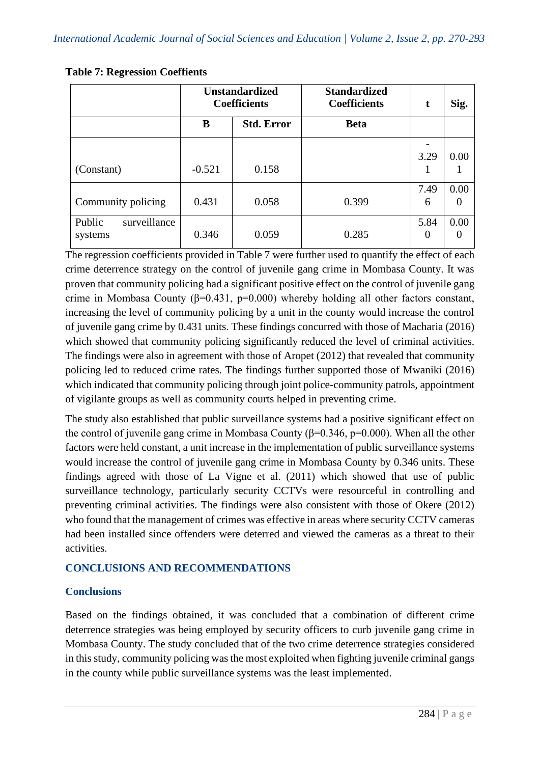|                                   | <b>Unstandardized</b><br><b>Coefficients</b> |                   | <b>Standardized</b><br><b>Coefficients</b> | t                | Sig.             |
|-----------------------------------|----------------------------------------------|-------------------|--------------------------------------------|------------------|------------------|
|                                   | B                                            | <b>Std. Error</b> | <b>Beta</b>                                |                  |                  |
| (Constant)                        | $-0.521$                                     | 0.158             |                                            | 3.29             | 0.00             |
| Community policing                | 0.431                                        | 0.058             | 0.399                                      | 7.49<br>6        | 0.00             |
| Public<br>surveillance<br>systems | 0.346                                        | 0.059             | 0.285                                      | 5.84<br>$\Omega$ | 0.00<br>$\theta$ |

#### **Table 7: Regression Coeffients**

The regression coefficients provided in Table 7 were further used to quantify the effect of each crime deterrence strategy on the control of juvenile gang crime in Mombasa County. It was proven that community policing had a significant positive effect on the control of juvenile gang crime in Mombasa County ( $\beta$ =0.431, p=0.000) whereby holding all other factors constant, increasing the level of community policing by a unit in the county would increase the control of juvenile gang crime by 0.431 units. These findings concurred with those of Macharia (2016) which showed that community policing significantly reduced the level of criminal activities. The findings were also in agreement with those of Aropet (2012) that revealed that community policing led to reduced crime rates. The findings further supported those of Mwaniki (2016) which indicated that community policing through joint police-community patrols, appointment of vigilante groups as well as community courts helped in preventing crime.

The study also established that public surveillance systems had a positive significant effect on the control of juvenile gang crime in Mombasa County ( $\beta$ =0.346, p=0.000). When all the other factors were held constant, a unit increase in the implementation of public surveillance systems would increase the control of juvenile gang crime in Mombasa County by 0.346 units. These findings agreed with those of La Vigne et al. (2011) which showed that use of public surveillance technology, particularly security CCTVs were resourceful in controlling and preventing criminal activities. The findings were also consistent with those of Okere (2012) who found that the management of crimes was effective in areas where security CCTV cameras had been installed since offenders were deterred and viewed the cameras as a threat to their activities.

# **CONCLUSIONS AND RECOMMENDATIONS**

# **Conclusions**

Based on the findings obtained, it was concluded that a combination of different crime deterrence strategies was being employed by security officers to curb juvenile gang crime in Mombasa County. The study concluded that of the two crime deterrence strategies considered in this study, community policing was the most exploited when fighting juvenile criminal gangs in the county while public surveillance systems was the least implemented.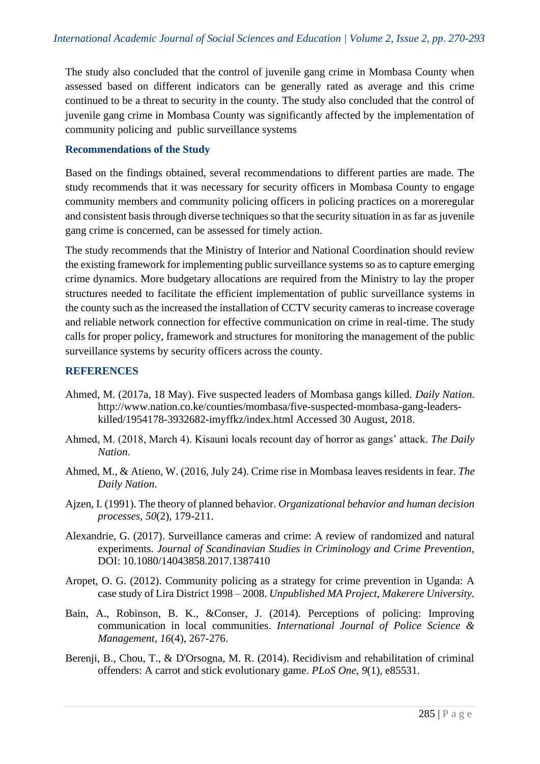The study also concluded that the control of juvenile gang crime in Mombasa County when assessed based on different indicators can be generally rated as average and this crime continued to be a threat to security in the county. The study also concluded that the control of juvenile gang crime in Mombasa County was significantly affected by the implementation of community policing and public surveillance systems

#### **Recommendations of the Study**

Based on the findings obtained, several recommendations to different parties are made. The study recommends that it was necessary for security officers in Mombasa County to engage community members and community policing officers in policing practices on a moreregular and consistent basis through diverse techniques so that the security situation in as far as juvenile gang crime is concerned, can be assessed for timely action.

The study recommends that the Ministry of Interior and National Coordination should review the existing framework for implementing public surveillance systems so as to capture emerging crime dynamics. More budgetary allocations are required from the Ministry to lay the proper structures needed to facilitate the efficient implementation of public surveillance systems in the county such as the increased the installation of CCTV security cameras to increase coverage and reliable network connection for effective communication on crime in real-time. The study calls for proper policy, framework and structures for monitoring the management of the public surveillance systems by security officers across the county.

#### **REFERENCES**

- Ahmed, M. (2017a, 18 May). Five suspected leaders of Mombasa gangs killed. *Daily Nation*. http://www.nation.co.ke/counties/mombasa/five-suspected-mombasa-gang-leaderskilled/1954178-3932682-imyffkz/index.html Accessed 30 August, 2018.
- Ahmed, M. (2018, March 4). Kisauni locals recount day of horror as gangs' attack. *The Daily Nation*.
- Ahmed, M., & Atieno, W. (2016, July 24). Crime rise in Mombasa leaves residents in fear. *The Daily Nation*.
- Ajzen, I. (1991). The theory of planned behavior. *Organizational behavior and human decision processes*, *50*(2), 179-211.
- Alexandrie, G. (2017). Surveillance cameras and crime: A review of randomized and natural experiments. *Journal of Scandinavian Studies in Criminology and Crime Prevention*, DOI: 10.1080/14043858.2017.1387410
- Aropet, O. G. (2012). Community policing as a strategy for crime prevention in Uganda: A case study of Lira District 1998 – 2008. *Unpublished MA Project, Makerere University.*
- Bain, A., Robinson, B. K., &Conser, J. (2014). Perceptions of policing: Improving communication in local communities. *International Journal of Police Science & Management*, *16*(4), 267-276.
- Berenji, B., Chou, T., & D'Orsogna, M. R. (2014). Recidivism and rehabilitation of criminal offenders: A carrot and stick evolutionary game. *PLoS One*, *9*(1), e85531.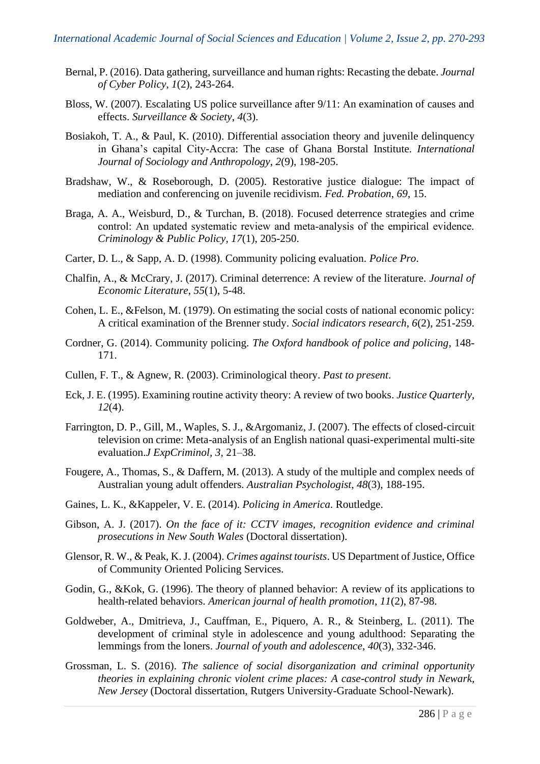- Bernal, P. (2016). Data gathering, surveillance and human rights: Recasting the debate. *Journal of Cyber Policy*, *1*(2), 243-264.
- Bloss, W. (2007). Escalating US police surveillance after 9/11: An examination of causes and effects. *Surveillance & Society*, *4*(3).
- Bosiakoh, T. A., & Paul, K. (2010). Differential association theory and juvenile delinquency in Ghana's capital City-Accra: The case of Ghana Borstal Institute. *International Journal of Sociology and Anthropology*, *2*(9), 198-205.
- Bradshaw, W., & Roseborough, D. (2005). Restorative justice dialogue: The impact of mediation and conferencing on juvenile recidivism. *Fed. Probation*, *69*, 15.
- Braga, A. A., Weisburd, D., & Turchan, B. (2018). Focused deterrence strategies and crime control: An updated systematic review and meta-analysis of the empirical evidence. *Criminology & Public Policy*, *17*(1), 205-250.
- Carter, D. L., & Sapp, A. D. (1998). Community policing evaluation. *Police Pro*.
- Chalfin, A., & McCrary, J. (2017). Criminal deterrence: A review of the literature. *Journal of Economic Literature*, *55*(1), 5-48.
- Cohen, L. E., &Felson, M. (1979). On estimating the social costs of national economic policy: A critical examination of the Brenner study. *Social indicators research*, *6*(2), 251-259.
- Cordner, G. (2014). Community policing. *The Oxford handbook of police and policing*, 148- 171.
- Cullen, F. T., & Agnew, R. (2003). Criminological theory. *Past to present*.
- Eck, J. E. (1995). Examining routine activity theory: A review of two books. *Justice Quarterly, 12*(4).
- Farrington, D. P., Gill, M., Waples, S. J., &Argomaniz, J. (2007). The effects of closed-circuit television on crime: Meta-analysis of an English national quasi-experimental multi-site evaluation.*J ExpCriminol, 3*, 21–38.
- Fougere, A., Thomas, S., & Daffern, M. (2013). A study of the multiple and complex needs of Australian young adult offenders. *Australian Psychologist*, *48*(3), 188-195.
- Gaines, L. K., &Kappeler, V. E. (2014). *Policing in America*. Routledge.
- Gibson, A. J. (2017). *On the face of it: CCTV images, recognition evidence and criminal prosecutions in New South Wales* (Doctoral dissertation).
- Glensor, R. W., & Peak, K. J. (2004). *Crimes against tourists*. US Department of Justice, Office of Community Oriented Policing Services.
- Godin, G., &Kok, G. (1996). The theory of planned behavior: A review of its applications to health-related behaviors. *American journal of health promotion*, *11*(2), 87-98.
- Goldweber, A., Dmitrieva, J., Cauffman, E., Piquero, A. R., & Steinberg, L. (2011). The development of criminal style in adolescence and young adulthood: Separating the lemmings from the loners. *Journal of youth and adolescence*, *40*(3), 332-346.
- Grossman, L. S. (2016). *The salience of social disorganization and criminal opportunity theories in explaining chronic violent crime places: A case-control study in Newark, New Jersey* (Doctoral dissertation, Rutgers University-Graduate School-Newark).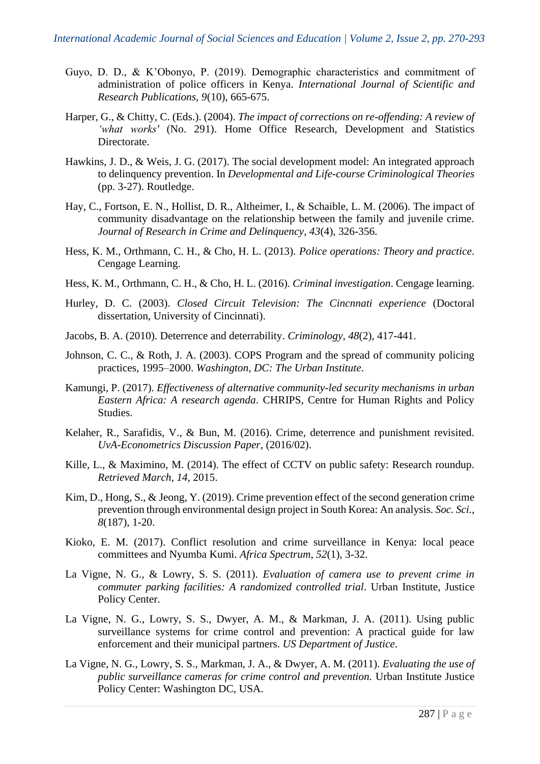- Guyo, D. D., & K'Obonyo, P. (2019). Demographic characteristics and commitment of administration of police officers in Kenya. *International Journal of Scientific and Research Publications, 9*(10), 665-675.
- Harper, G., & Chitty, C. (Eds.). (2004). *The impact of corrections on re-offending: A review of 'what works'* (No. 291). Home Office Research, Development and Statistics Directorate.
- Hawkins, J. D., & Weis, J. G. (2017). The social development model: An integrated approach to delinquency prevention. In *Developmental and Life-course Criminological Theories* (pp. 3-27). Routledge.
- Hay, C., Fortson, E. N., Hollist, D. R., Altheimer, I., & Schaible, L. M. (2006). The impact of community disadvantage on the relationship between the family and juvenile crime. *Journal of Research in Crime and Delinquency*, *43*(4), 326-356.
- Hess, K. M., Orthmann, C. H., & Cho, H. L. (2013). *Police operations: Theory and practice*. Cengage Learning.
- Hess, K. M., Orthmann, C. H., & Cho, H. L. (2016). *Criminal investigation*. Cengage learning.
- Hurley, D. C. (2003). *Closed Circuit Television: The Cincnnati experience* (Doctoral dissertation, University of Cincinnati).
- Jacobs, B. A. (2010). Deterrence and deterrability. *Criminology*, *48*(2), 417-441.
- Johnson, C. C., & Roth, J. A. (2003). COPS Program and the spread of community policing practices, 1995–2000. *Washington, DC: The Urban Institute*.
- Kamungi, P. (2017). *Effectiveness of alternative community-led security mechanisms in urban Eastern Africa: A research agenda*. CHRIPS, Centre for Human Rights and Policy Studies.
- Kelaher, R., Sarafidis, V., & Bun, M. (2016). Crime, deterrence and punishment revisited. *UvA-Econometrics Discussion Paper*, (2016/02).
- Kille, L., & Maximino, M. (2014). The effect of CCTV on public safety: Research roundup. *Retrieved March*, *14*, 2015.
- Kim, D., Hong, S., & Jeong, Y. (2019). Crime prevention effect of the second generation crime prevention through environmental design project in South Korea: An analysis. *Soc. Sci., 8*(187), 1-20.
- Kioko, E. M. (2017). Conflict resolution and crime surveillance in Kenya: local peace committees and Nyumba Kumi. *Africa Spectrum*, *52*(1), 3-32.
- La Vigne, N. G., & Lowry, S. S. (2011). *Evaluation of camera use to prevent crime in commuter parking facilities: A randomized controlled trial*. Urban Institute, Justice Policy Center.
- La Vigne, N. G., Lowry, S. S., Dwyer, A. M., & Markman, J. A. (2011). Using public surveillance systems for crime control and prevention: A practical guide for law enforcement and their municipal partners. *US Department of Justice*.
- La Vigne, N. G., Lowry, S. S., Markman, J. A., & Dwyer, A. M. (2011). *Evaluating the use of public surveillance cameras for crime control and prevention.* Urban Institute Justice Policy Center: Washington DC, USA.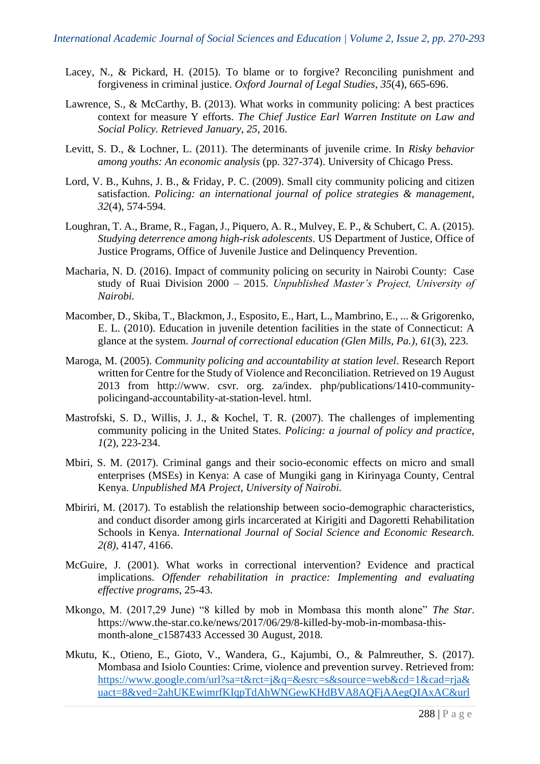- Lacey, N., & Pickard, H. (2015). To blame or to forgive? Reconciling punishment and forgiveness in criminal justice. *Oxford Journal of Legal Studies*, *35*(4), 665-696.
- Lawrence, S., & McCarthy, B. (2013). What works in community policing: A best practices context for measure Y efforts. *The Chief Justice Earl Warren Institute on Law and Social Policy. Retrieved January*, *25*, 2016.
- Levitt, S. D., & Lochner, L. (2011). The determinants of juvenile crime. In *Risky behavior among youths: An economic analysis* (pp. 327-374). University of Chicago Press.
- Lord, V. B., Kuhns, J. B., & Friday, P. C. (2009). Small city community policing and citizen satisfaction. *Policing: an international journal of police strategies & management*, *32*(4), 574-594.
- Loughran, T. A., Brame, R., Fagan, J., Piquero, A. R., Mulvey, E. P., & Schubert, C. A. (2015). *Studying deterrence among high-risk adolescents*. US Department of Justice, Office of Justice Programs, Office of Juvenile Justice and Delinquency Prevention.
- Macharia, N. D. (2016). Impact of community policing on security in Nairobi County: Case study of Ruai Division 2000 – 2015. *Unpublished Master's Project, University of Nairobi.*
- Macomber, D., Skiba, T., Blackmon, J., Esposito, E., Hart, L., Mambrino, E., ... & Grigorenko, E. L. (2010). Education in juvenile detention facilities in the state of Connecticut: A glance at the system. *Journal of correctional education (Glen Mills, Pa.)*, *61*(3), 223.
- Maroga, M. (2005). *Community policing and accountability at station level*. Research Report written for Centre for the Study of Violence and Reconciliation. Retrieved on 19 August 2013 from http://www. csvr. org. za/index. php/publications/1410-communitypolicingand-accountability-at-station-level. html.
- Mastrofski, S. D., Willis, J. J., & Kochel, T. R. (2007). The challenges of implementing community policing in the United States. *Policing: a journal of policy and practice*, *1*(2), 223-234.
- Mbiri, S. M. (2017). Criminal gangs and their socio-economic effects on micro and small enterprises (MSEs) in Kenya: A case of Mungiki gang in Kirinyaga County, Central Kenya. *Unpublished MA Project, University of Nairobi.*
- Mbiriri, M. (2017). To establish the relationship between socio-demographic characteristics, and conduct disorder among girls incarcerated at Kirigiti and Dagoretti Rehabilitation Schools in Kenya. *International Journal of Social Science and Economic Research. 2(8),* 4147, 4166.
- McGuire, J. (2001). What works in correctional intervention? Evidence and practical implications. *Offender rehabilitation in practice: Implementing and evaluating effective programs*, 25-43.
- Mkongo, M. (2017,29 June) "8 killed by mob in Mombasa this month alone" *The Star*. https://www.the-star.co.ke/news/2017/06/29/8-killed-by-mob-in-mombasa-thismonth-alone\_c1587433 Accessed 30 August, 2018.
- Mkutu, K., Otieno, E., Gioto, V., Wandera, G., Kajumbi, O., & Palmreuther, S. (2017). Mombasa and Isiolo Counties: Crime, violence and prevention survey. Retrieved from: [https://www.google.com/url?sa=t&rct=j&q=&esrc=s&source=web&cd=1&cad=rja&](https://www.google.com/url?sa=t&rct=j&q=&esrc=s&source=web&cd=1&cad=rja&uact=8&ved=2ahUKEwimrfKIqpTdAhWNGewKHdBVA8AQFjAAegQIAxAC&url=http%3A%2F%2Fcrimeresearch.go.ke%2Fwp-content%2Fuploads%2F2018%2F07%2FMombasa-and-Isiolo-Counties-Baseline-Survey-2017.pdf&usg=AOvVaw2IO0mfUfJzFPQkiD7oPqTf) [uact=8&ved=2ahUKEwimrfKIqpTdAhWNGewKHdBVA8AQFjAAegQIAxAC&url](https://www.google.com/url?sa=t&rct=j&q=&esrc=s&source=web&cd=1&cad=rja&uact=8&ved=2ahUKEwimrfKIqpTdAhWNGewKHdBVA8AQFjAAegQIAxAC&url=http%3A%2F%2Fcrimeresearch.go.ke%2Fwp-content%2Fuploads%2F2018%2F07%2FMombasa-and-Isiolo-Counties-Baseline-Survey-2017.pdf&usg=AOvVaw2IO0mfUfJzFPQkiD7oPqTf)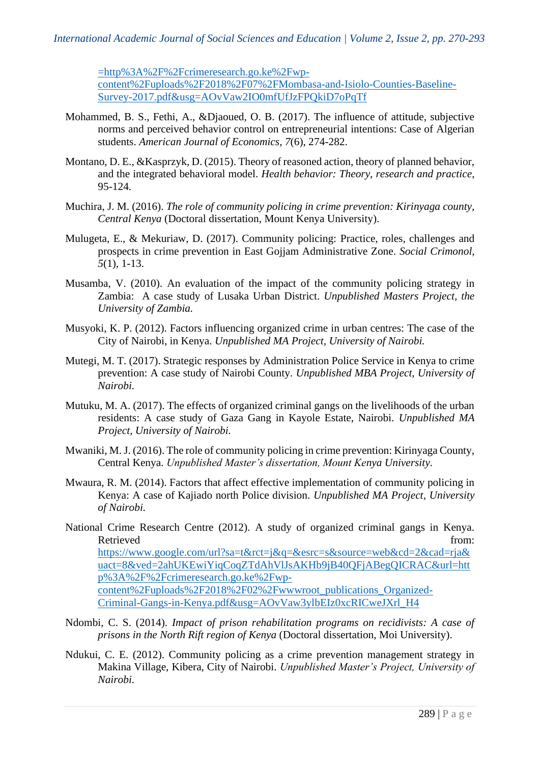[=http%3A%2F%2Fcrimeresearch.go.ke%2Fwp-](https://www.google.com/url?sa=t&rct=j&q=&esrc=s&source=web&cd=1&cad=rja&uact=8&ved=2ahUKEwimrfKIqpTdAhWNGewKHdBVA8AQFjAAegQIAxAC&url=http%3A%2F%2Fcrimeresearch.go.ke%2Fwp-content%2Fuploads%2F2018%2F07%2FMombasa-and-Isiolo-Counties-Baseline-Survey-2017.pdf&usg=AOvVaw2IO0mfUfJzFPQkiD7oPqTf)

[content%2Fuploads%2F2018%2F07%2FMombasa-and-Isiolo-Counties-Baseline-](https://www.google.com/url?sa=t&rct=j&q=&esrc=s&source=web&cd=1&cad=rja&uact=8&ved=2ahUKEwimrfKIqpTdAhWNGewKHdBVA8AQFjAAegQIAxAC&url=http%3A%2F%2Fcrimeresearch.go.ke%2Fwp-content%2Fuploads%2F2018%2F07%2FMombasa-and-Isiolo-Counties-Baseline-Survey-2017.pdf&usg=AOvVaw2IO0mfUfJzFPQkiD7oPqTf)[Survey-2017.pdf&usg=AOvVaw2IO0mfUfJzFPQkiD7oPqTf](https://www.google.com/url?sa=t&rct=j&q=&esrc=s&source=web&cd=1&cad=rja&uact=8&ved=2ahUKEwimrfKIqpTdAhWNGewKHdBVA8AQFjAAegQIAxAC&url=http%3A%2F%2Fcrimeresearch.go.ke%2Fwp-content%2Fuploads%2F2018%2F07%2FMombasa-and-Isiolo-Counties-Baseline-Survey-2017.pdf&usg=AOvVaw2IO0mfUfJzFPQkiD7oPqTf)

- Mohammed, B. S., Fethi, A., &Djaoued, O. B. (2017). The influence of attitude, subjective norms and perceived behavior control on entrepreneurial intentions: Case of Algerian students. *American Journal of Economics*, *7*(6), 274-282.
- Montano, D. E., &Kasprzyk, D. (2015). Theory of reasoned action, theory of planned behavior, and the integrated behavioral model. *Health behavior: Theory, research and practice*, 95-124.
- Muchira, J. M. (2016). *The role of community policing in crime prevention: Kirinyaga county, Central Kenya* (Doctoral dissertation, Mount Kenya University).
- Mulugeta, E., & Mekuriaw, D. (2017). Community policing: Practice, roles, challenges and prospects in crime prevention in East Gojjam Administrative Zone*. Social Crimonol, 5*(1), 1-13.
- Musamba, V. (2010). An evaluation of the impact of the community policing strategy in Zambia: A case study of Lusaka Urban District. *Unpublished Masters Project, the University of Zambia.*
- Musyoki, K. P. (2012). Factors influencing organized crime in urban centres: The case of the City of Nairobi, in Kenya. *Unpublished MA Project, University of Nairobi.*
- Mutegi, M. T. (2017). Strategic responses by Administration Police Service in Kenya to crime prevention: A case study of Nairobi County. *Unpublished MBA Project, University of Nairobi.*
- Mutuku, M. A. (2017). The effects of organized criminal gangs on the livelihoods of the urban residents: A case study of Gaza Gang in Kayole Estate, Nairobi. *Unpublished MA Project, University of Nairobi.*
- Mwaniki, M. J. (2016). The role of community policing in crime prevention: Kirinyaga County, Central Kenya. *Unpublished Master's dissertation, Mount Kenya University.*
- Mwaura, R. M. (2014). Factors that affect effective implementation of community policing in Kenya: A case of Kajiado north Police division. *Unpublished MA Project, University of Nairobi.*
- National Crime Research Centre (2012). A study of organized criminal gangs in Kenya. Retrieved from: [https://www.google.com/url?sa=t&rct=j&q=&esrc=s&source=web&cd=2&cad=rja&](https://www.google.com/url?sa=t&rct=j&q=&esrc=s&source=web&cd=2&cad=rja&uact=8&ved=2ahUKEwiYiqCoqZTdAhVlJsAKHb9jB40QFjABegQICRAC&url=http%3A%2F%2Fcrimeresearch.go.ke%2Fwp-content%2Fuploads%2F2018%2F02%2Fwwwroot_publications_Organized-Criminal-Gangs-in-Kenya.pdf&usg=AOvVaw3ylbEIz0xcRICweJXrl_H4) [uact=8&ved=2ahUKEwiYiqCoqZTdAhVlJsAKHb9jB40QFjABegQICRAC&url=htt](https://www.google.com/url?sa=t&rct=j&q=&esrc=s&source=web&cd=2&cad=rja&uact=8&ved=2ahUKEwiYiqCoqZTdAhVlJsAKHb9jB40QFjABegQICRAC&url=http%3A%2F%2Fcrimeresearch.go.ke%2Fwp-content%2Fuploads%2F2018%2F02%2Fwwwroot_publications_Organized-Criminal-Gangs-in-Kenya.pdf&usg=AOvVaw3ylbEIz0xcRICweJXrl_H4) [p%3A%2F%2Fcrimeresearch.go.ke%2Fwp](https://www.google.com/url?sa=t&rct=j&q=&esrc=s&source=web&cd=2&cad=rja&uact=8&ved=2ahUKEwiYiqCoqZTdAhVlJsAKHb9jB40QFjABegQICRAC&url=http%3A%2F%2Fcrimeresearch.go.ke%2Fwp-content%2Fuploads%2F2018%2F02%2Fwwwroot_publications_Organized-Criminal-Gangs-in-Kenya.pdf&usg=AOvVaw3ylbEIz0xcRICweJXrl_H4)[content%2Fuploads%2F2018%2F02%2Fwwwroot\\_publications\\_Organized-](https://www.google.com/url?sa=t&rct=j&q=&esrc=s&source=web&cd=2&cad=rja&uact=8&ved=2ahUKEwiYiqCoqZTdAhVlJsAKHb9jB40QFjABegQICRAC&url=http%3A%2F%2Fcrimeresearch.go.ke%2Fwp-content%2Fuploads%2F2018%2F02%2Fwwwroot_publications_Organized-Criminal-Gangs-in-Kenya.pdf&usg=AOvVaw3ylbEIz0xcRICweJXrl_H4)[Criminal-Gangs-in-Kenya.pdf&usg=AOvVaw3ylbEIz0xcRICweJXrl\\_H4](https://www.google.com/url?sa=t&rct=j&q=&esrc=s&source=web&cd=2&cad=rja&uact=8&ved=2ahUKEwiYiqCoqZTdAhVlJsAKHb9jB40QFjABegQICRAC&url=http%3A%2F%2Fcrimeresearch.go.ke%2Fwp-content%2Fuploads%2F2018%2F02%2Fwwwroot_publications_Organized-Criminal-Gangs-in-Kenya.pdf&usg=AOvVaw3ylbEIz0xcRICweJXrl_H4)
- Ndombi, C. S. (2014). *Impact of prison rehabilitation programs on recidivists: A case of prisons in the North Rift region of Kenya* (Doctoral dissertation, Moi University).
- Ndukui, C. E. (2012). Community policing as a crime prevention management strategy in Makina Village, Kibera, City of Nairobi. *Unpublished Master's Project, University of Nairobi.*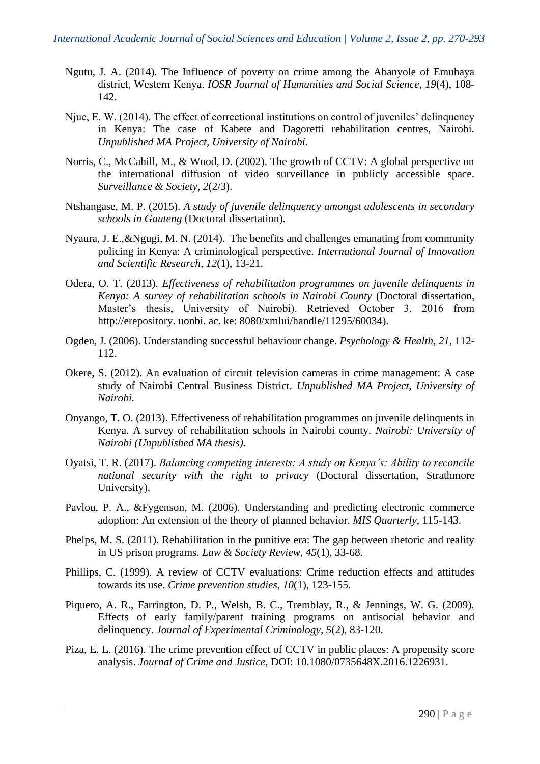- Ngutu, J. A. (2014). The Influence of poverty on crime among the Abanyole of Emuhaya district, Western Kenya. *IOSR Journal of Humanities and Social Science*, *19*(4), 108- 142.
- Njue, E. W. (2014). The effect of correctional institutions on control of juveniles' delinquency in Kenya: The case of Kabete and Dagoretti rehabilitation centres, Nairobi. *Unpublished MA Project, University of Nairobi.*
- Norris, C., McCahill, M., & Wood, D. (2002). The growth of CCTV: A global perspective on the international diffusion of video surveillance in publicly accessible space. *Surveillance & Society*, *2*(2/3).
- Ntshangase, M. P. (2015). *A study of juvenile delinquency amongst adolescents in secondary schools in Gauteng* (Doctoral dissertation).
- Nyaura, J. E.,&Ngugi, M. N. (2014). The benefits and challenges emanating from community policing in Kenya: A criminological perspective. *International Journal of Innovation and Scientific Research, 12*(1), 13-21.
- Odera, O. T. (2013). *Effectiveness of rehabilitation programmes on juvenile delinquents in Kenya: A survey of rehabilitation schools in Nairobi County* (Doctoral dissertation, Master's thesis, University of Nairobi). Retrieved October 3, 2016 from http://erepository. uonbi. ac. ke: 8080/xmlui/handle/11295/60034).
- Ogden, J. (2006). Understanding successful behaviour change. *Psychology & Health*, *21*, 112- 112.
- Okere, S. (2012). An evaluation of circuit television cameras in crime management: A case study of Nairobi Central Business District. *Unpublished MA Project, University of Nairobi.*
- Onyango, T. O. (2013). Effectiveness of rehabilitation programmes on juvenile delinquents in Kenya. A survey of rehabilitation schools in Nairobi county. *Nairobi: University of Nairobi (Unpublished MA thesis)*.
- Oyatsi, T. R. (2017). *Balancing competing interests: A study on Kenya's: Ability to reconcile national security with the right to privacy* (Doctoral dissertation, Strathmore University).
- Pavlou, P. A., &Fygenson, M. (2006). Understanding and predicting electronic commerce adoption: An extension of the theory of planned behavior. *MIS Quarterly*, 115-143.
- Phelps, M. S. (2011). Rehabilitation in the punitive era: The gap between rhetoric and reality in US prison programs. *Law & Society Review*, *45*(1), 33-68.
- Phillips, C. (1999). A review of CCTV evaluations: Crime reduction effects and attitudes towards its use. *Crime prevention studies*, *10*(1), 123-155.
- Piquero, A. R., Farrington, D. P., Welsh, B. C., Tremblay, R., & Jennings, W. G. (2009). Effects of early family/parent training programs on antisocial behavior and delinquency. *Journal of Experimental Criminology*, *5*(2), 83-120.
- Piza, E. L. (2016). The crime prevention effect of CCTV in public places: A propensity score analysis. *Journal of Crime and Justice*, DOI: 10.1080/0735648X.2016.1226931.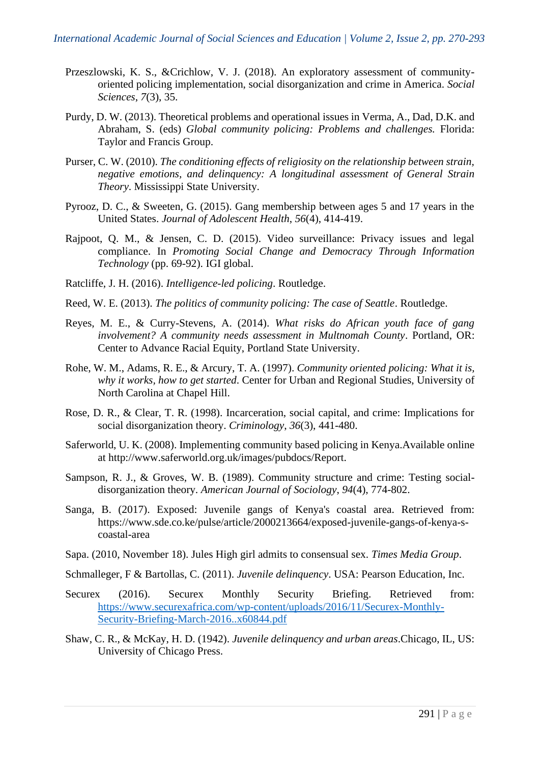- Przeszlowski, K. S., &Crichlow, V. J. (2018). An exploratory assessment of communityoriented policing implementation, social disorganization and crime in America. *Social Sciences*, *7*(3), 35.
- Purdy, D. W. (2013). Theoretical problems and operational issues in Verma, A., Dad, D.K. and Abraham, S. (eds) *Global community policing: Problems and challenges.* Florida: Taylor and Francis Group.
- Purser, C. W. (2010). *The conditioning effects of religiosity on the relationship between strain, negative emotions, and delinquency: A longitudinal assessment of General Strain Theory*. Mississippi State University.
- Pyrooz, D. C., & Sweeten, G. (2015). Gang membership between ages 5 and 17 years in the United States. *Journal of Adolescent Health*, *56*(4), 414-419.
- Rajpoot, Q. M., & Jensen, C. D. (2015). Video surveillance: Privacy issues and legal compliance. In *Promoting Social Change and Democracy Through Information Technology* (pp. 69-92). IGI global.
- Ratcliffe, J. H. (2016). *Intelligence-led policing*. Routledge.
- Reed, W. E. (2013). *The politics of community policing: The case of Seattle*. Routledge.
- Reyes, M. E., & Curry-Stevens, A. (2014). *What risks do African youth face of gang involvement? A community needs assessment in Multnomah County*. Portland, OR: Center to Advance Racial Equity, Portland State University.
- Rohe, W. M., Adams, R. E., & Arcury, T. A. (1997). *Community oriented policing: What it is, why it works, how to get started*. Center for Urban and Regional Studies, University of North Carolina at Chapel Hill.
- Rose, D. R., & Clear, T. R. (1998). Incarceration, social capital, and crime: Implications for social disorganization theory. *Criminology*, *36*(3), 441-480.
- Saferworld, U. K. (2008). Implementing community based policing in Kenya.Available online at http://www.saferworld.org.uk/images/pubdocs/Report.
- Sampson, R. J., & Groves, W. B. (1989). Community structure and crime: Testing socialdisorganization theory. *American Journal of Sociology*, *94*(4), 774-802.
- Sanga, B. (2017). Exposed: Juvenile gangs of Kenya's coastal area. Retrieved from: https://www.sde.co.ke/pulse/article/2000213664/exposed-juvenile-gangs-of-kenya-scoastal-area
- Sapa. (2010, November 18). Jules High girl admits to consensual sex. *Times Media Group*.

Schmalleger, F & Bartollas, C. (2011). *Juvenile delinquency*. USA: Pearson Education, Inc.

- Securex (2016). Securex Monthly Security Briefing. Retrieved from: [https://www.securexafrica.com/wp-content/uploads/2016/11/Securex-Monthly-](https://www.securexafrica.com/wp-content/uploads/2016/11/Securex-Monthly-Security-Briefing-March-2016..x60844.pdf)[Security-Briefing-March-2016..x60844.pdf](https://www.securexafrica.com/wp-content/uploads/2016/11/Securex-Monthly-Security-Briefing-March-2016..x60844.pdf)
- Shaw, C. R., & McKay, H. D. (1942). *Juvenile delinquency and urban areas*.Chicago, IL, US: University of Chicago Press.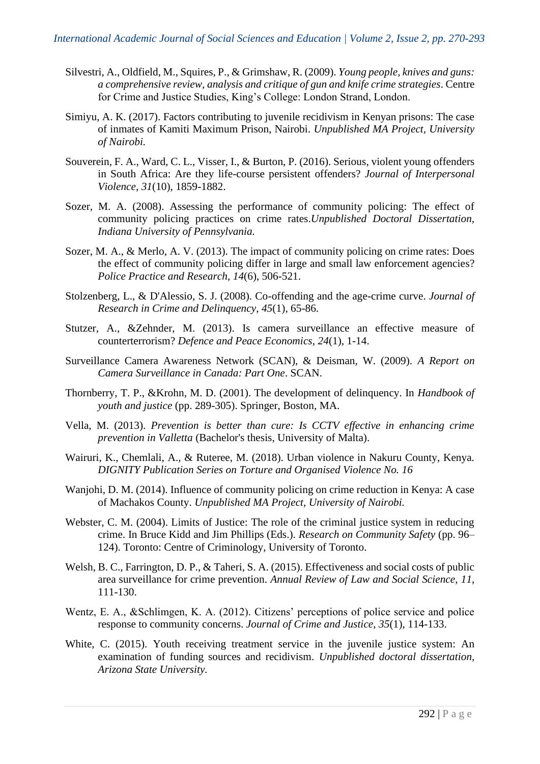- Silvestri, A., Oldfield, M., Squires, P., & Grimshaw, R. (2009). *Young people, knives and guns: a comprehensive review, analysis and critique of gun and knife crime strategies*. Centre for Crime and Justice Studies, King's College: London Strand, London.
- Simiyu, A. K. (2017). Factors contributing to juvenile recidivism in Kenyan prisons: The case of inmates of Kamiti Maximum Prison, Nairobi. *Unpublished MA Project, University of Nairobi.*
- Souverein, F. A., Ward, C. L., Visser, I., & Burton, P. (2016). Serious, violent young offenders in South Africa: Are they life-course persistent offenders? *Journal of Interpersonal Violence*, *31*(10), 1859-1882.
- Sozer, M. A. (2008). Assessing the performance of community policing: The effect of community policing practices on crime rates.*Unpublished Doctoral Dissertation, Indiana University of Pennsylvania.*
- Sozer, M. A., & Merlo, A. V. (2013). The impact of community policing on crime rates: Does the effect of community policing differ in large and small law enforcement agencies? *Police Practice and Research*, *14*(6), 506-521.
- Stolzenberg, L., & D'Alessio, S. J. (2008). Co-offending and the age-crime curve. *Journal of Research in Crime and Delinquency*, *45*(1), 65-86.
- Stutzer, A., &Zehnder, M. (2013). Is camera surveillance an effective measure of counterterrorism? *Defence and Peace Economics*, *24*(1), 1-14.
- Surveillance Camera Awareness Network (SCAN), & Deisman, W. (2009). *A Report on Camera Surveillance in Canada: Part One*. SCAN.
- Thornberry, T. P., &Krohn, M. D. (2001). The development of delinquency. In *Handbook of youth and justice* (pp. 289-305). Springer, Boston, MA.
- Vella, M. (2013). *Prevention is better than cure: Is CCTV effective in enhancing crime prevention in Valletta* (Bachelor's thesis, University of Malta).
- Wairuri, K., Chemlali, A., & Ruteree, M. (2018). Urban violence in Nakuru County, Kenya. *DIGNITY Publication Series on Torture and Organised Violence No. 16*
- Wanjohi, D. M. (2014). Influence of community policing on crime reduction in Kenya: A case of Machakos County. *Unpublished MA Project, University of Nairobi.*
- Webster, C. M. (2004). Limits of Justice: The role of the criminal justice system in reducing crime. In Bruce Kidd and Jim Phillips (Eds.). *Research on Community Safety* (pp. 96– 124). Toronto: Centre of Criminology, University of Toronto.
- Welsh, B. C., Farrington, D. P., & Taheri, S. A. (2015). Effectiveness and social costs of public area surveillance for crime prevention. *Annual Review of Law and Social Science*, *11*, 111-130.
- Wentz, E. A., &Schlimgen, K. A. (2012). Citizens' perceptions of police service and police response to community concerns. *Journal of Crime and Justice*, *35*(1), 114-133.
- White, C. (2015). Youth receiving treatment service in the juvenile justice system: An examination of funding sources and recidivism. *Unpublished doctoral dissertation, Arizona State University.*